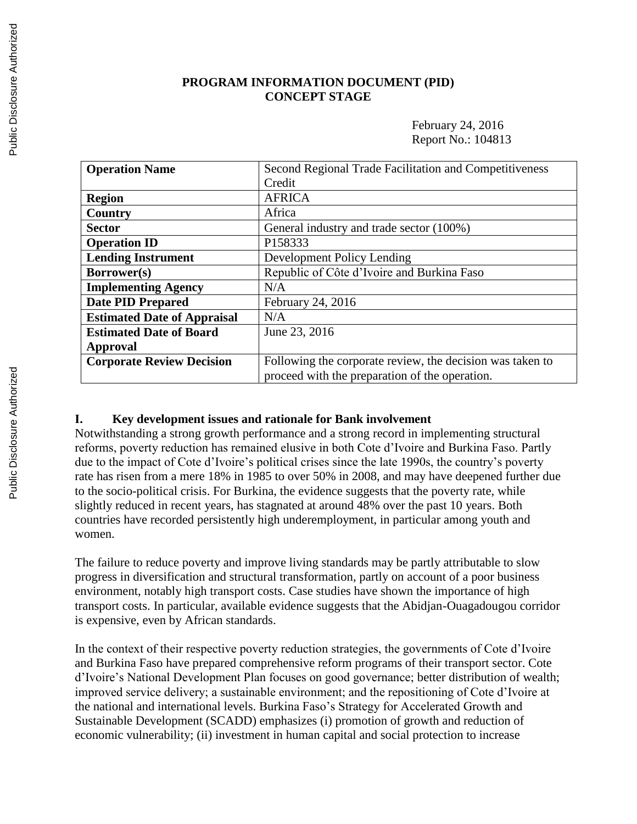### **PROGRAM INFORMATION DOCUMENT (PID) CONCEPT STAGE**

February 24, 2016 Report No.: 104813

| <b>Operation Name</b>              | Second Regional Trade Facilitation and Competitiveness    |  |
|------------------------------------|-----------------------------------------------------------|--|
|                                    | Credit                                                    |  |
| <b>Region</b>                      | <b>AFRICA</b>                                             |  |
| Country                            | Africa                                                    |  |
| <b>Sector</b>                      | General industry and trade sector (100%)                  |  |
| <b>Operation ID</b>                | P158333                                                   |  |
| <b>Lending Instrument</b>          | <b>Development Policy Lending</b>                         |  |
| Borrower(s)                        | Republic of Côte d'Ivoire and Burkina Faso                |  |
| <b>Implementing Agency</b>         | N/A                                                       |  |
| <b>Date PID Prepared</b>           | February 24, 2016                                         |  |
| <b>Estimated Date of Appraisal</b> | N/A                                                       |  |
| <b>Estimated Date of Board</b>     | June 23, 2016                                             |  |
| Approval                           |                                                           |  |
| <b>Corporate Review Decision</b>   | Following the corporate review, the decision was taken to |  |
|                                    | proceed with the preparation of the operation.            |  |

#### **I. Key development issues and rationale for Bank involvement**

Notwithstanding a strong growth performance and a strong record in implementing structural reforms, poverty reduction has remained elusive in both Cote d'Ivoire and Burkina Faso. Partly due to the impact of Cote d'Ivoire's political crises since the late 1990s, the country's poverty rate has risen from a mere 18% in 1985 to over 50% in 2008, and may have deepened further due to the socio-political crisis. For Burkina, the evidence suggests that the poverty rate, while slightly reduced in recent years, has stagnated at around 48% over the past 10 years. Both countries have recorded persistently high underemployment, in particular among youth and women.

The failure to reduce poverty and improve living standards may be partly attributable to slow progress in diversification and structural transformation, partly on account of a poor business environment, notably high transport costs. Case studies have shown the importance of high transport costs. In particular, available evidence suggests that the Abidjan-Ouagadougou corridor is expensive, even by African standards.

In the context of their respective poverty reduction strategies, the governments of Cote d'Ivoire and Burkina Faso have prepared comprehensive reform programs of their transport sector. Cote d'Ivoire's National Development Plan focuses on good governance; better distribution of wealth; improved service delivery; a sustainable environment; and the repositioning of Cote d'Ivoire at the national and international levels. Burkina Faso's Strategy for Accelerated Growth and Sustainable Development (SCADD) emphasizes (i) promotion of growth and reduction of economic vulnerability; (ii) investment in human capital and social protection to increase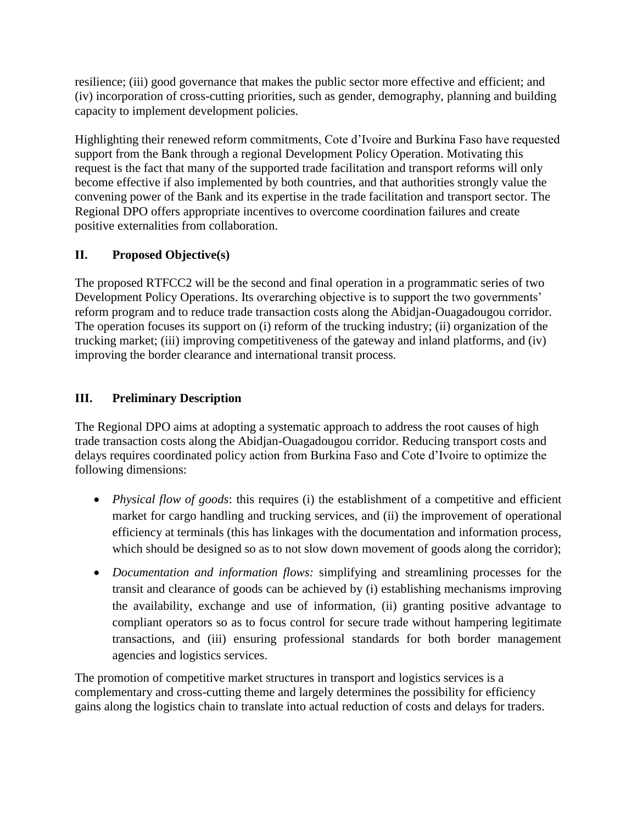resilience; (iii) good governance that makes the public sector more effective and efficient; and (iv) incorporation of cross-cutting priorities, such as gender, demography, planning and building capacity to implement development policies.

Highlighting their renewed reform commitments, Cote d'Ivoire and Burkina Faso have requested support from the Bank through a regional Development Policy Operation. Motivating this request is the fact that many of the supported trade facilitation and transport reforms will only become effective if also implemented by both countries, and that authorities strongly value the convening power of the Bank and its expertise in the trade facilitation and transport sector. The Regional DPO offers appropriate incentives to overcome coordination failures and create positive externalities from collaboration.

# **II. Proposed Objective(s)**

The proposed RTFCC2 will be the second and final operation in a programmatic series of two Development Policy Operations. Its overarching objective is to support the two governments' reform program and to reduce trade transaction costs along the Abidjan-Ouagadougou corridor. The operation focuses its support on (i) reform of the trucking industry; (ii) organization of the trucking market; (iii) improving competitiveness of the gateway and inland platforms, and (iv) improving the border clearance and international transit process.

# **III. Preliminary Description**

The Regional DPO aims at adopting a systematic approach to address the root causes of high trade transaction costs along the Abidjan-Ouagadougou corridor. Reducing transport costs and delays requires coordinated policy action from Burkina Faso and Cote d'Ivoire to optimize the following dimensions:

- *Physical flow of goods*: this requires (i) the establishment of a competitive and efficient market for cargo handling and trucking services, and (ii) the improvement of operational efficiency at terminals (this has linkages with the documentation and information process, which should be designed so as to not slow down movement of goods along the corridor);
- *Documentation and information flows:* simplifying and streamlining processes for the transit and clearance of goods can be achieved by (i) establishing mechanisms improving the availability, exchange and use of information, (ii) granting positive advantage to compliant operators so as to focus control for secure trade without hampering legitimate transactions, and (iii) ensuring professional standards for both border management agencies and logistics services.

The promotion of competitive market structures in transport and logistics services is a complementary and cross-cutting theme and largely determines the possibility for efficiency gains along the logistics chain to translate into actual reduction of costs and delays for traders.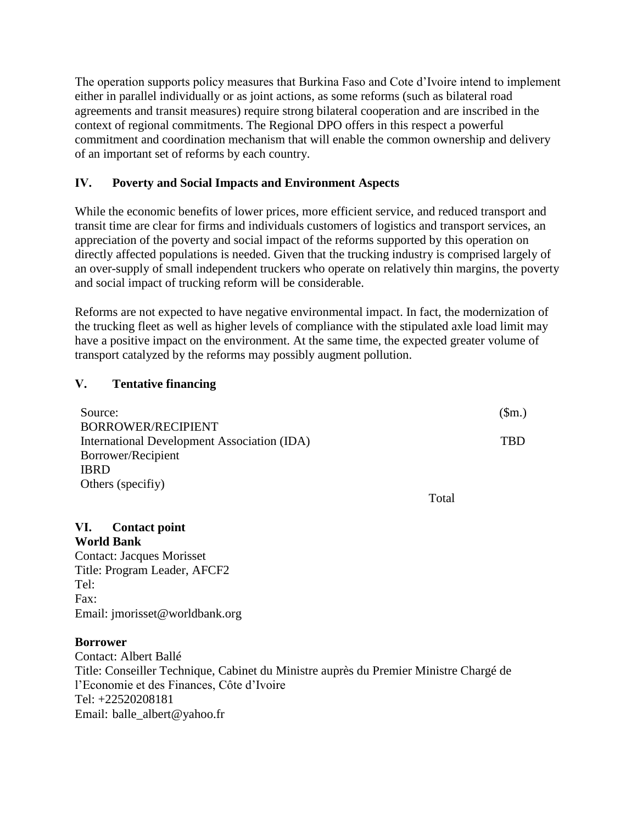The operation supports policy measures that Burkina Faso and Cote d'Ivoire intend to implement either in parallel individually or as joint actions, as some reforms (such as bilateral road agreements and transit measures) require strong bilateral cooperation and are inscribed in the context of regional commitments. The Regional DPO offers in this respect a powerful commitment and coordination mechanism that will enable the common ownership and delivery of an important set of reforms by each country.

## **IV. Poverty and Social Impacts and Environment Aspects**

While the economic benefits of lower prices, more efficient service, and reduced transport and transit time are clear for firms and individuals customers of logistics and transport services, an appreciation of the poverty and social impact of the reforms supported by this operation on directly affected populations is needed. Given that the trucking industry is comprised largely of an over-supply of small independent truckers who operate on relatively thin margins, the poverty and social impact of trucking reform will be considerable.

Reforms are not expected to have negative environmental impact. In fact, the modernization of the trucking fleet as well as higher levels of compliance with the stipulated axle load limit may have a positive impact on the environment. At the same time, the expected greater volume of transport catalyzed by the reforms may possibly augment pollution.

## **V. Tentative financing**

| Source:                                     |       | (\$m.) |
|---------------------------------------------|-------|--------|
| BORROWER/RECIPIENT                          |       |        |
| International Development Association (IDA) |       | TBD    |
| Borrower/Recipient                          |       |        |
| <b>IBRD</b>                                 |       |        |
| Others (specifiy)                           |       |        |
|                                             | Total |        |

### **VI. Contact point World Bank**

Contact: Jacques Morisset Title: Program Leader, AFCF2 Tel: Fax: Email: jmorisset@worldbank.org

### **Borrower**

Contact: Albert Ballé Title: Conseiller Technique, Cabinet du Ministre auprès du Premier Ministre Chargé de l'Economie et des Finances, Côte d'Ivoire Tel: +22520208181 Email: balle\_albert@yahoo.fr